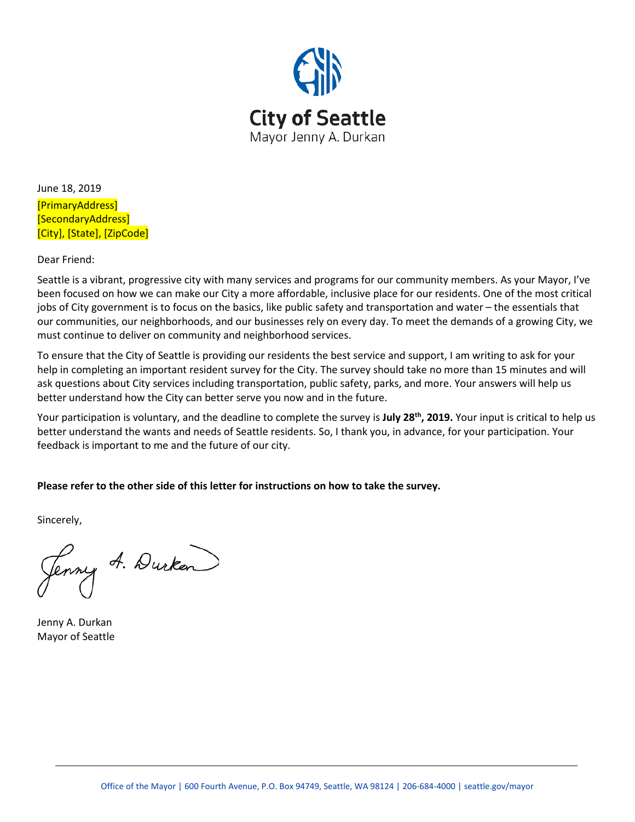

June 18, 2019 [PrimaryAddress] [SecondaryAddress] [City], [State], [ZipCode]

Dear Friend:

Seattle is a vibrant, progressive city with many services and programs for our community members. As your Mayor, I've been focused on how we can make our City a more affordable, inclusive place for our residents. One of the most critical jobs of City government is to focus on the basics, like public safety and transportation and water – the essentials that our communities, our neighborhoods, and our businesses rely on every day. To meet the demands of a growing City, we must continue to deliver on community and neighborhood services.

To ensure that the City of Seattle is providing our residents the best service and support, I am writing to ask for your help in completing an important resident survey for the City. The survey should take no more than 15 minutes and will ask questions about City services including transportation, public safety, parks, and more. Your answers will help us better understand how the City can better serve you now and in the future.

Your participation is voluntary, and the deadline to complete the survey is **July 28th, 2019.** Your input is critical to help us better understand the wants and needs of Seattle residents. So, I thank you, in advance, for your participation. Your feedback is important to me and the future of our city.

**Please refer to the other side of this letter for instructions on how to take the survey.**

Sincerely,

Jenny A. Durken

Jenny A. Durkan Mayor of Seattle